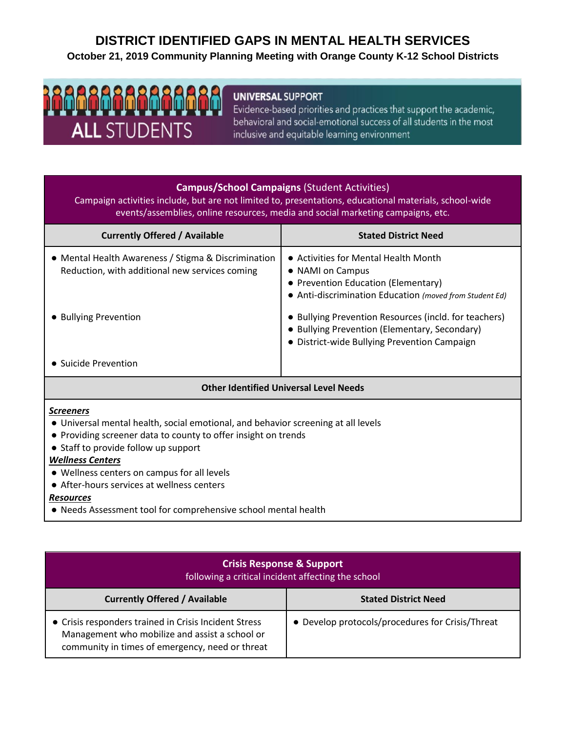# **DISTRICT IDENTIFIED GAPS IN MENTAL HEALTH SERVICES October 21, 2019 Community Planning Meeting with Orange County K-12 School Districts**

# <u>aaaaaaaaaaaa</u> **ALL STUDENTS**

## **UNIVERSAL SUPPORT**

Evidence-based priorities and practices that support the academic, behavioral and social-emotional success of all students in the most inclusive and equitable learning environment

#### **Campus/School Campaigns** (Student Activities)

Campaign activities include, but are not limited to, presentations, educational materials, school-wide events/assemblies, online resources, media and social marketing campaigns, etc.

| <b>Currently Offered / Available</b>                                                                                           | <b>Stated District Need</b>                                                                                                                                                                                                                                          |
|--------------------------------------------------------------------------------------------------------------------------------|----------------------------------------------------------------------------------------------------------------------------------------------------------------------------------------------------------------------------------------------------------------------|
| • Mental Health Awareness / Stigma & Discrimination<br>Reduction, with additional new services coming<br>• Bullying Prevention | • Activities for Mental Health Month<br>• NAMI on Campus<br>• Prevention Education (Elementary)<br>• Anti-discrimination Education (moved from Student Ed)<br>• Bullying Prevention Resources (incld. for teachers)<br>• Bullying Prevention (Elementary, Secondary) |
| • Suicide Prevention                                                                                                           | • District-wide Bullying Prevention Campaign                                                                                                                                                                                                                         |
| <b>Other Identified Universal Level Needs</b>                                                                                  |                                                                                                                                                                                                                                                                      |

#### *Screeners*

- Universal mental health, social emotional, and behavior screening at all levels
- Providing screener data to county to offer insight on trends
- Staff to provide follow up support

#### *Wellness Centers*

- Wellness centers on campus for all levels
- After-hours services at wellness centers

#### *Resources*

● Needs Assessment tool for comprehensive school mental health

| <b>Crisis Response &amp; Support</b><br>following a critical incident affecting the school                                                                 |                                                  |  |
|------------------------------------------------------------------------------------------------------------------------------------------------------------|--------------------------------------------------|--|
| <b>Currently Offered / Available</b>                                                                                                                       | <b>Stated District Need</b>                      |  |
| • Crisis responders trained in Crisis Incident Stress<br>Management who mobilize and assist a school or<br>community in times of emergency, need or threat | • Develop protocols/procedures for Crisis/Threat |  |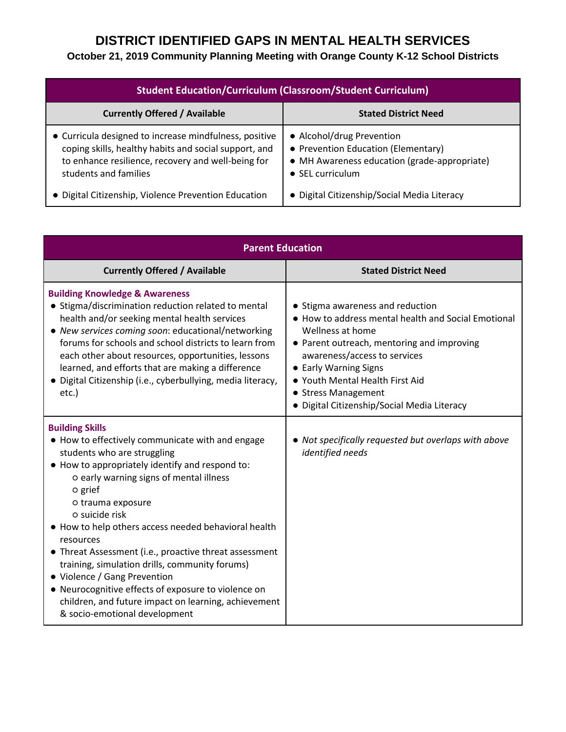## **October 21, 2019 Community Planning Meeting with Orange County K-12 School Districts**

| <b>Student Education/Curriculum (Classroom/Student Curriculum)</b>                                                                                                                             |                                                                                                                                              |
|------------------------------------------------------------------------------------------------------------------------------------------------------------------------------------------------|----------------------------------------------------------------------------------------------------------------------------------------------|
| <b>Currently Offered / Available</b>                                                                                                                                                           | <b>Stated District Need</b>                                                                                                                  |
| • Curricula designed to increase mindfulness, positive<br>coping skills, healthy habits and social support, and<br>to enhance resilience, recovery and well-being for<br>students and families | • Alcohol/drug Prevention<br>• Prevention Education (Elementary)<br>• MH Awareness education (grade-appropriate)<br>$\bullet$ SEL curriculum |
| • Digital Citizenship, Violence Prevention Education                                                                                                                                           | • Digital Citizenship/Social Media Literacy                                                                                                  |

| <b>Parent Education</b>                                                                                                                                                                                                                                                                                                                                                                                                                                                                                                                                                                                                    |                                                                                                                                                                                                                                                                                                                             |
|----------------------------------------------------------------------------------------------------------------------------------------------------------------------------------------------------------------------------------------------------------------------------------------------------------------------------------------------------------------------------------------------------------------------------------------------------------------------------------------------------------------------------------------------------------------------------------------------------------------------------|-----------------------------------------------------------------------------------------------------------------------------------------------------------------------------------------------------------------------------------------------------------------------------------------------------------------------------|
| <b>Currently Offered / Available</b>                                                                                                                                                                                                                                                                                                                                                                                                                                                                                                                                                                                       | <b>Stated District Need</b>                                                                                                                                                                                                                                                                                                 |
| <b>Building Knowledge &amp; Awareness</b><br>• Stigma/discrimination reduction related to mental<br>health and/or seeking mental health services<br>• New services coming soon: educational/networking<br>forums for schools and school districts to learn from<br>each other about resources, opportunities, lessons<br>learned, and efforts that are making a difference<br>• Digital Citizenship (i.e., cyberbullying, media literacy,<br>$etc.$ )                                                                                                                                                                      | • Stigma awareness and reduction<br>• How to address mental health and Social Emotional<br>Wellness at home<br>• Parent outreach, mentoring and improving<br>awareness/access to services<br>• Early Warning Signs<br>• Youth Mental Health First Aid<br>• Stress Management<br>· Digital Citizenship/Social Media Literacy |
| <b>Building Skills</b><br>• How to effectively communicate with and engage<br>students who are struggling<br>• How to appropriately identify and respond to:<br>o early warning signs of mental illness<br>o grief<br>o trauma exposure<br>o suicide risk<br>• How to help others access needed behavioral health<br>resources<br>• Threat Assessment (i.e., proactive threat assessment<br>training, simulation drills, community forums)<br>• Violence / Gang Prevention<br>• Neurocognitive effects of exposure to violence on<br>children, and future impact on learning, achievement<br>& socio-emotional development | • Not specifically requested but overlaps with above<br>identified needs                                                                                                                                                                                                                                                    |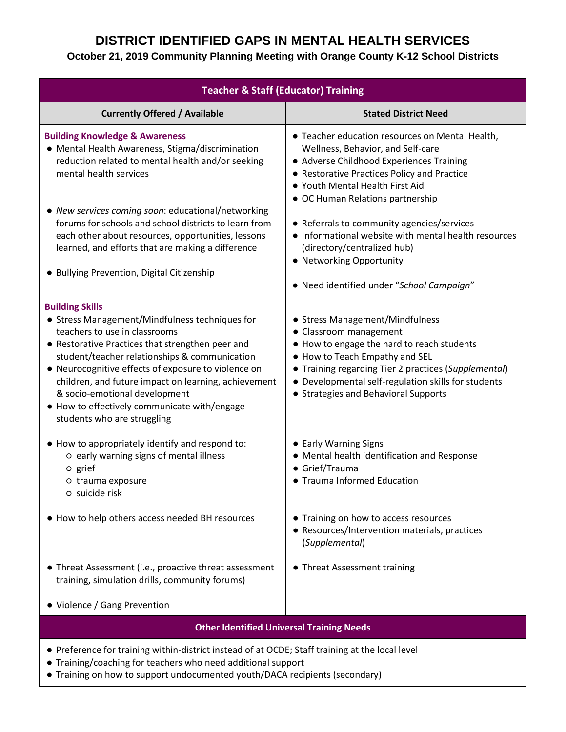### **October 21, 2019 Community Planning Meeting with Orange County K-12 School Districts**

| <b>Teacher &amp; Staff (Educator) Training</b>                                                                                                                                                                                                                                                                                                                                                                                                |                                                                                                                                                                                                                                                                                                  |
|-----------------------------------------------------------------------------------------------------------------------------------------------------------------------------------------------------------------------------------------------------------------------------------------------------------------------------------------------------------------------------------------------------------------------------------------------|--------------------------------------------------------------------------------------------------------------------------------------------------------------------------------------------------------------------------------------------------------------------------------------------------|
| <b>Currently Offered / Available</b>                                                                                                                                                                                                                                                                                                                                                                                                          | <b>Stated District Need</b>                                                                                                                                                                                                                                                                      |
| <b>Building Knowledge &amp; Awareness</b><br>• Mental Health Awareness, Stigma/discrimination<br>reduction related to mental health and/or seeking<br>mental health services                                                                                                                                                                                                                                                                  | • Teacher education resources on Mental Health,<br>Wellness, Behavior, and Self-care<br>• Adverse Childhood Experiences Training<br>• Restorative Practices Policy and Practice<br>• Youth Mental Health First Aid<br>• OC Human Relations partnership                                           |
| • New services coming soon: educational/networking<br>forums for schools and school districts to learn from<br>each other about resources, opportunities, lessons<br>learned, and efforts that are making a difference<br>• Bullying Prevention, Digital Citizenship                                                                                                                                                                          | • Referrals to community agencies/services<br>• Informational website with mental health resources<br>(directory/centralized hub)<br>• Networking Opportunity<br>• Need identified under "School Campaign"                                                                                       |
| <b>Building Skills</b><br>• Stress Management/Mindfulness techniques for<br>teachers to use in classrooms<br>• Restorative Practices that strengthen peer and<br>student/teacher relationships & communication<br>• Neurocognitive effects of exposure to violence on<br>children, and future impact on learning, achievement<br>& socio-emotional development<br>• How to effectively communicate with/engage<br>students who are struggling | • Stress Management/Mindfulness<br>• Classroom management<br>• How to engage the hard to reach students<br>• How to Teach Empathy and SEL<br>• Training regarding Tier 2 practices (Supplemental)<br>• Developmental self-regulation skills for students<br>• Strategies and Behavioral Supports |
| • How to appropriately identify and respond to:<br>o early warning signs of mental illness<br>o grief<br>o trauma exposure<br>o suicide risk                                                                                                                                                                                                                                                                                                  | • Early Warning Signs<br>• Mental health identification and Response<br>• Grief/Trauma<br>• Trauma Informed Education                                                                                                                                                                            |
| • How to help others access needed BH resources                                                                                                                                                                                                                                                                                                                                                                                               | • Training on how to access resources<br>• Resources/Intervention materials, practices<br>(Supplemental)                                                                                                                                                                                         |
| • Threat Assessment (i.e., proactive threat assessment<br>training, simulation drills, community forums)                                                                                                                                                                                                                                                                                                                                      | • Threat Assessment training                                                                                                                                                                                                                                                                     |
| • Violence / Gang Prevention                                                                                                                                                                                                                                                                                                                                                                                                                  |                                                                                                                                                                                                                                                                                                  |
| <b>Other Identified Universal Training Needs</b>                                                                                                                                                                                                                                                                                                                                                                                              |                                                                                                                                                                                                                                                                                                  |

- Preference for training within-district instead of at OCDE; Staff training at the local level
- Training/coaching for teachers who need additional support
- Training on how to support undocumented youth/DACA recipients (secondary)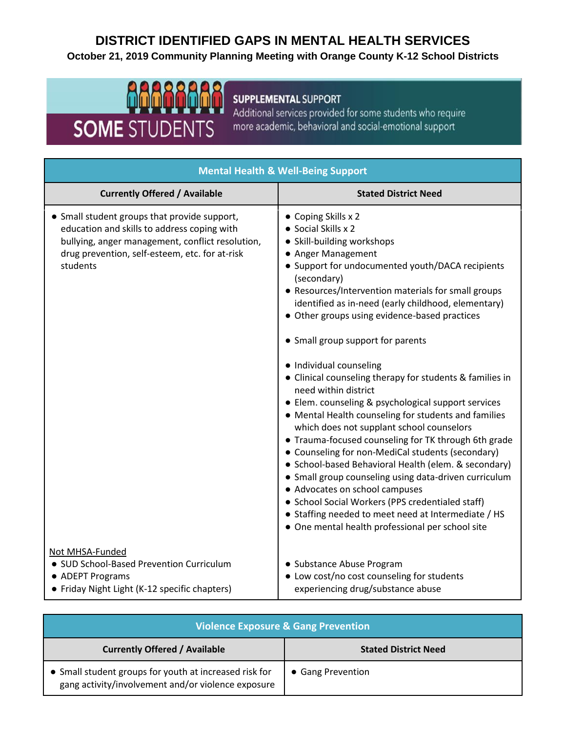# **DISTRICT IDENTIFIED GAPS IN MENTAL HEALTH SERVICES October 21, 2019 Community Planning Meeting with Orange County K-12 School Districts**



## **SUPPLEMENTAL SUPPORT**

Additional services provided for some students who require more academic, behavioral and social-emotional support

| <b>Mental Health &amp; Well-Being Support</b>                                                                                                                                                                 |                                                                                                                                                                                                                                                                                                                                                                                                                                                                                                                                                                                                                                                                                                                                                                                                                                                                                                                                                                                                                                                                                 |
|---------------------------------------------------------------------------------------------------------------------------------------------------------------------------------------------------------------|---------------------------------------------------------------------------------------------------------------------------------------------------------------------------------------------------------------------------------------------------------------------------------------------------------------------------------------------------------------------------------------------------------------------------------------------------------------------------------------------------------------------------------------------------------------------------------------------------------------------------------------------------------------------------------------------------------------------------------------------------------------------------------------------------------------------------------------------------------------------------------------------------------------------------------------------------------------------------------------------------------------------------------------------------------------------------------|
| <b>Currently Offered / Available</b>                                                                                                                                                                          | <b>Stated District Need</b>                                                                                                                                                                                                                                                                                                                                                                                                                                                                                                                                                                                                                                                                                                                                                                                                                                                                                                                                                                                                                                                     |
| • Small student groups that provide support,<br>education and skills to address coping with<br>bullying, anger management, conflict resolution,<br>drug prevention, self-esteem, etc. for at-risk<br>students | • Coping Skills x 2<br>• Social Skills x 2<br>· Skill-building workshops<br>• Anger Management<br>• Support for undocumented youth/DACA recipients<br>(secondary)<br>• Resources/Intervention materials for small groups<br>identified as in-need (early childhood, elementary)<br>• Other groups using evidence-based practices<br>• Small group support for parents<br>· Individual counseling<br>• Clinical counseling therapy for students & families in<br>need within district<br>• Elem. counseling & psychological support services<br>• Mental Health counseling for students and families<br>which does not supplant school counselors<br>• Trauma-focused counseling for TK through 6th grade<br>• Counseling for non-MediCal students (secondary)<br>• School-based Behavioral Health (elem. & secondary)<br>• Small group counseling using data-driven curriculum<br>• Advocates on school campuses<br>• School Social Workers (PPS credentialed staff)<br>• Staffing needed to meet need at Intermediate / HS<br>• One mental health professional per school site |
| Not MHSA-Funded<br>• SUD School-Based Prevention Curriculum<br>• ADEPT Programs<br>• Friday Night Light (K-12 specific chapters)                                                                              | • Substance Abuse Program<br>• Low cost/no cost counseling for students<br>experiencing drug/substance abuse                                                                                                                                                                                                                                                                                                                                                                                                                                                                                                                                                                                                                                                                                                                                                                                                                                                                                                                                                                    |

| <b>Violence Exposure &amp; Gang Prevention</b>                                                               |                             |
|--------------------------------------------------------------------------------------------------------------|-----------------------------|
| <b>Currently Offered / Available</b>                                                                         | <b>Stated District Need</b> |
| • Small student groups for youth at increased risk for<br>gang activity/involvement and/or violence exposure | • Gang Prevention           |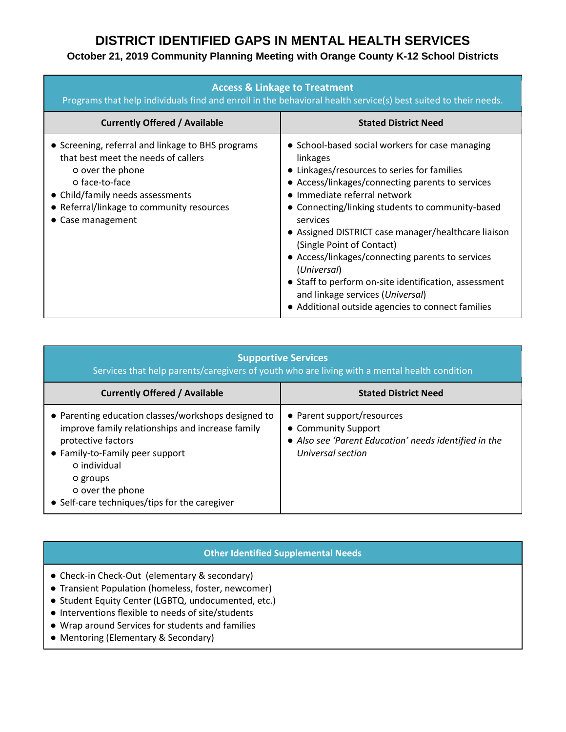## **October 21, 2019 Community Planning Meeting with Orange County K-12 School Districts**

| <b>Access &amp; Linkage to Treatment</b><br>Programs that help individuals find and enroll in the behavioral health service(s) best suited to their needs.                                                                                   |                                                                                                                                                                                                                                                                                                                                                                                                                                                                                                                                                                         |
|----------------------------------------------------------------------------------------------------------------------------------------------------------------------------------------------------------------------------------------------|-------------------------------------------------------------------------------------------------------------------------------------------------------------------------------------------------------------------------------------------------------------------------------------------------------------------------------------------------------------------------------------------------------------------------------------------------------------------------------------------------------------------------------------------------------------------------|
| <b>Currently Offered / Available</b>                                                                                                                                                                                                         | <b>Stated District Need</b>                                                                                                                                                                                                                                                                                                                                                                                                                                                                                                                                             |
| • Screening, referral and linkage to BHS programs<br>that best meet the needs of callers<br>o over the phone<br>o face-to-face<br>• Child/family needs assessments<br>• Referral/linkage to community resources<br>$\bullet$ Case management | • School-based social workers for case managing<br>linkages<br>• Linkages/resources to series for families<br>• Access/linkages/connecting parents to services<br>• Immediate referral network<br>• Connecting/linking students to community-based<br>services<br>• Assigned DISTRICT case manager/healthcare liaison<br>(Single Point of Contact)<br>• Access/linkages/connecting parents to services<br>(Universal)<br>• Staff to perform on-site identification, assessment<br>and linkage services (Universal)<br>• Additional outside agencies to connect families |

| <b>Supportive Services</b><br>Services that help parents/caregivers of youth who are living with a mental health condition                                                                                                                                        |                                                                                                                                 |
|-------------------------------------------------------------------------------------------------------------------------------------------------------------------------------------------------------------------------------------------------------------------|---------------------------------------------------------------------------------------------------------------------------------|
| <b>Currently Offered / Available</b>                                                                                                                                                                                                                              | <b>Stated District Need</b>                                                                                                     |
| • Parenting education classes/workshops designed to<br>improve family relationships and increase family<br>protective factors<br>• Family-to-Family peer support<br>o individual<br>O groups<br>o over the phone<br>• Self-care techniques/tips for the caregiver | • Parent support/resources<br>• Community Support<br>• Also see 'Parent Education' needs identified in the<br>Universal section |

#### **Other Identified Supplemental Needs**

- Check-in Check-Out (elementary & secondary)
- Transient Population (homeless, foster, newcomer)
- Student Equity Center (LGBTQ, undocumented, etc.)
- Interventions flexible to needs of site/students
- Wrap around Services for students and families
- Mentoring (Elementary & Secondary)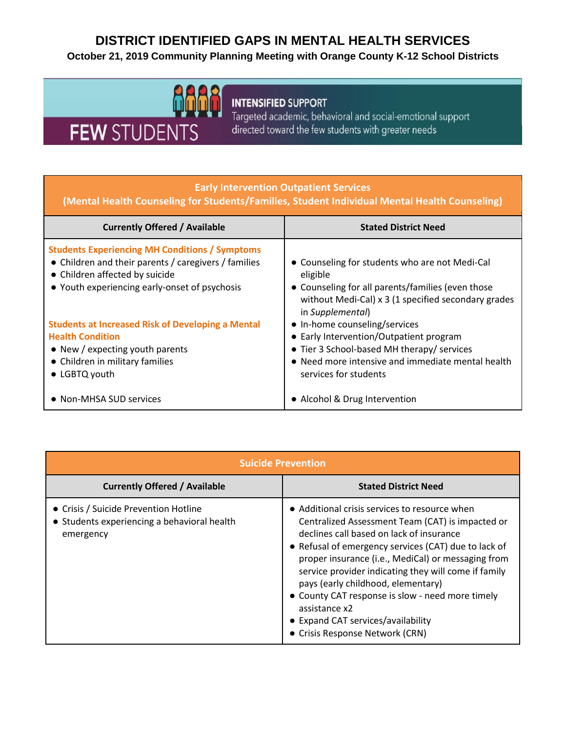## **October 21, 2019 Community Planning Meeting with Orange County K-12 School Districts**



# **INTENSIFIED SUPPORT**

Targeted academic, behavioral and social-emotional support directed toward the few students with greater needs

#### **Early Intervention Outpatient Services**

**(Mental Health Counseling for Students/Families, Student Individual Mental Health Counseling)**

| <b>Currently Offered / Available</b>                                                                                                                                                             | <b>Stated District Need</b>                                                                                                                                                                          |
|--------------------------------------------------------------------------------------------------------------------------------------------------------------------------------------------------|------------------------------------------------------------------------------------------------------------------------------------------------------------------------------------------------------|
| <b>Students Experiencing MH Conditions / Symptoms</b><br>• Children and their parents / caregivers / families<br>• Children affected by suicide<br>• Youth experiencing early-onset of psychosis | • Counseling for students who are not Medi-Cal<br>eligible<br>• Counseling for all parents/families (even those<br>without Medi-Cal) x 3 (1 specified secondary grades<br>in Supplemental)           |
| <b>Students at Increased Risk of Developing a Mental</b><br><b>Health Condition</b><br>• New / expecting youth parents<br>• Children in military families<br>• LGBTQ youth                       | • In-home counseling/services<br>• Early Intervention/Outpatient program<br>• Tier 3 School-based MH therapy/ services<br>• Need more intensive and immediate mental health<br>services for students |
| • Non-MHSA SUD services                                                                                                                                                                          | • Alcohol & Drug Intervention                                                                                                                                                                        |

| <b>Suicide Prevention</b>                                                                         |                                                                                                                                                                                                                                                                                                                                                                                                                                                                                                         |
|---------------------------------------------------------------------------------------------------|---------------------------------------------------------------------------------------------------------------------------------------------------------------------------------------------------------------------------------------------------------------------------------------------------------------------------------------------------------------------------------------------------------------------------------------------------------------------------------------------------------|
| <b>Currently Offered / Available</b>                                                              | <b>Stated District Need</b>                                                                                                                                                                                                                                                                                                                                                                                                                                                                             |
| • Crisis / Suicide Prevention Hotline<br>• Students experiencing a behavioral health<br>emergency | • Additional crisis services to resource when<br>Centralized Assessment Team (CAT) is impacted or<br>declines call based on lack of insurance<br>• Refusal of emergency services (CAT) due to lack of<br>proper insurance (i.e., MediCal) or messaging from<br>service provider indicating they will come if family<br>pays (early childhood, elementary)<br>• County CAT response is slow - need more timely<br>assistance x2<br>• Expand CAT services/availability<br>• Crisis Response Network (CRN) |